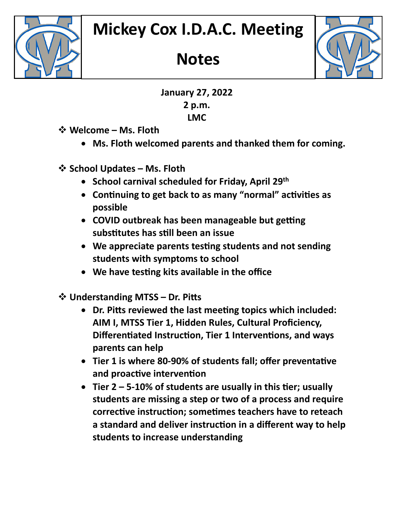

## **Notes**



**January 27, 2022 2 p.m. LMC**

- **Welcome – Ms. Floth**
	- **Ms. Floth welcomed parents and thanked them for coming.**
- **School Updates – Ms. Floth**
	- **School carnival scheduled for Friday, April 29th**
	- Continuing to get back to as many "normal" activities as **possible**
	- **COVID outbreak has been manageable but getting subs�tutes has s�ll been an issue**
	- **We appreciate parents tes�ng students and not sending students with symptoms to school**
	- We have *testing kits available in the office*
- **Understanding MTSS – Dr. Pits**
	- **Dr. Pits reviewed the last mee�ng topics which included: AIM I, MTSS Tier 1, Hidden Rules, Cultural Proficiency, Differentiated Instruction, Tier 1 Interventions, and ways parents can help**
	- Tier 1 is where 80-90% of students fall; offer preventative and proactive intervention
	- Tier 2 5-10% of students are usually in this tier; usually **students are missing a step or two of a process and require**  corrective instruction; sometimes teachers have to reteach a standard and deliver instruction in a different way to help **students to increase understanding**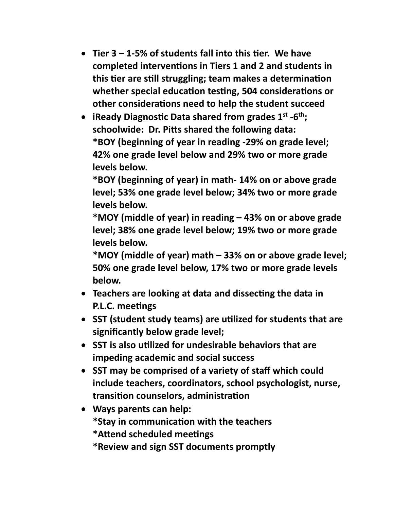- Tier 3 1-5% of students fall into this tier. We have **completed interven�ons in Tiers 1 and 2 and students in this tier are still struggling; team makes a determination** whether special education testing, 504 considerations or **other considerations need to help the student succeed**
- **iReady Diagnos�c Data shared from grades 1st -6th; schoolwide: Dr. Pits shared the following data: \*BOY (beginning of year in reading -29% on grade level; 42% one grade level below and 29% two or more grade levels below.**

**\*BOY (beginning of year) in math- 14% on or above grade level; 53% one grade level below; 34% two or more grade levels below.**

**\*MOY (middle of year) in reading – 43% on or above grade level; 38% one grade level below; 19% two or more grade levels below.**

**\*MOY (middle of year) math – 33% on or above grade level; 50% one grade level below, 17% two or more grade levels below.**

- **Teachers are looking at data and dissec�ng the data in P.L.C. meetings**
- **SST (student study teams) are u�lized for students that are significantly below grade level;**
- **SST is also u�lized for undesirable behaviors that are impeding academic and social success**
- **SST may be comprised of a variety of staff which could include teachers, coordinators, school psychologist, nurse, transi�on counselors, administra�on**
- **Ways parents can help: \*Stay in communica�on with the teachers \*Atend scheduled mee�ngs**
	- **\*Review and sign SST documents promptly**